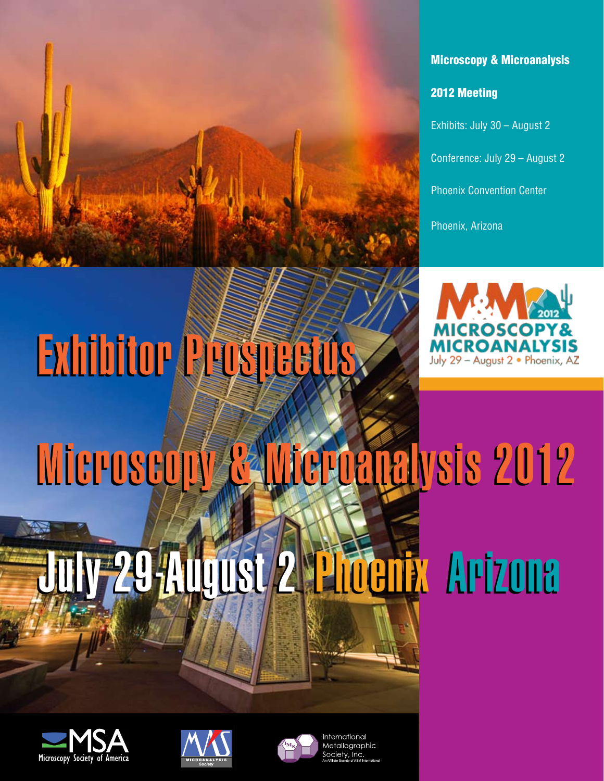

#### Microscopy & Microanalysis

2012 Meeting

Conference: July 29 – August 2 Phoenix Convention Center

Phoenix, Arizona



# Exhibitor Prospectus Exhibitor Prospectus

# Microscopy & Microanalysis 2012 Microscopy & Microanalysis 2012

### UUSUZ I Microscopy & Microscopy & Microscopy July 29-August 2 Phoenix Arizona July 29-August 2 Phoenix Arizona

EXHIBITS: August 2 – 5, 2010 CONFERENCE: August 1 – 5, 2010 <sup>n</sup> OREGON CONVENTION CENTER Portland, Oregon

EXHIBITS: AUGUST 2 – 5, 2010 CONFERENCE : August 1 – 5, 2010 IN 1989 <sup>n</sup> OREGON CONVENTION CONVENTION Portland, Oregon







International Metalloarapl  $\bar{c}$ ociety, In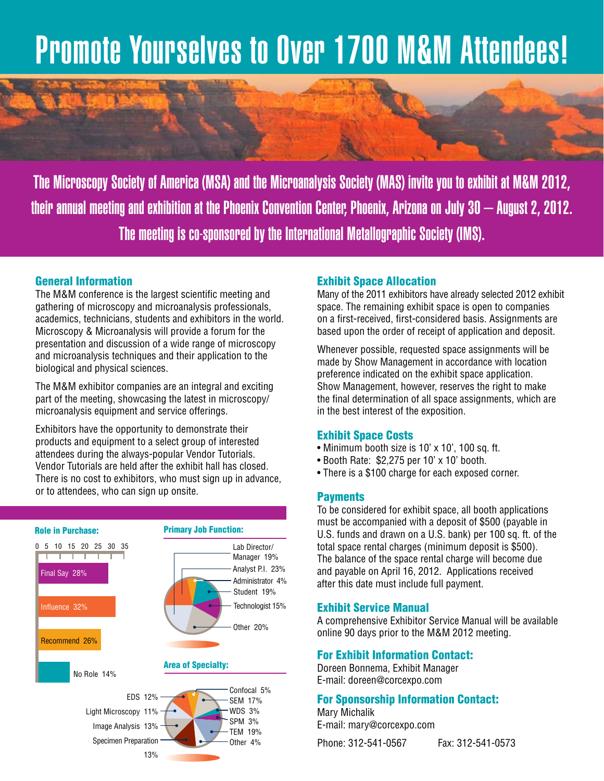### Promote Yourselves to Over 1700 M&M Attendees!

The Microscopy Society of America (MSA) and the Microanalysis Society (MAS) invite you to exhibit at M&M 2012, their annual meeting and exhibition at the Phoenix Convention Center, Phoenix, Arizona on July 30 – August 2, 2012. The meeting is co-sponsored by the International Metallographic Society (IMS).

#### General Information

The M&M conference is the largest scientific meeting and gathering of microscopy and microanalysis professionals, academics, technicians, students and exhibitors in the world. Microscopy & Microanalysis will provide a forum for the presentation and discussion of a wide range of microscopy and microanalysis techniques and their application to the biological and physical sciences.

The M&M exhibitor companies are an integral and exciting part of the meeting, showcasing the latest in microscopy/ microanalysis equipment and service offerings.

Exhibitors have the opportunity to demonstrate their products and equipment to a select group of interested attendees during the always-popular Vendor Tutorials. Vendor Tutorials are held after the exhibit hall has closed. There is no cost to exhibitors, who must sign up in advance. or to attendees, who can sign up onsite.



#### Exhibit Space Allocation

Many of the 2011 exhibitors have already selected 2012 exhibit space. The remaining exhibit space is open to companies on a first-received, first-considered basis. Assignments are based upon the order of receipt of application and deposit.

Whenever possible, requested space assignments will be made by Show Management in accordance with location preference indicated on the exhibit space application. Show Management, however, reserves the right to make the final determination of all space assignments, which are in the best interest of the exposition.

#### Exhibit Space Costs

- Minimum booth size is 10' x 10', 100 sq. ft.
- Booth Rate: \$2,275 per 10' x 10' booth.
- There is a \$100 charge for each exposed corner.

#### Payments

To be considered for exhibit space, all booth applications must be accompanied with a deposit of \$500 (payable in U.S. funds and drawn on a U.S. bank) per 100 sq. ft. of the total space rental charges (minimum deposit is \$500). The balance of the space rental charge will become due and payable on April 16, 2012. Applications received after this date must include full payment.

#### Exhibit Service Manual

A comprehensive Exhibitor Service Manual will be available online 90 days prior to the M&M 2012 meeting.

#### For Exhibit Information Contact:

Doreen Bonnema, Exhibit Manager E-mail: doreen@corcexpo.com

#### For Sponsorship Information Contact: Mary Michalik

E-mail: mary@corcexpo.com

Phone: 312-541-0567 Fax: 312-541-0573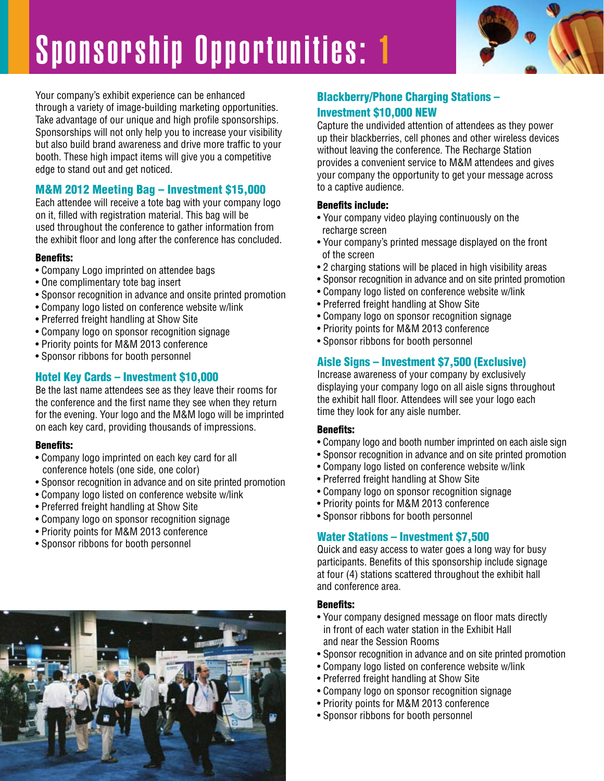

Your company's exhibit experience can be enhanced through a variety of image-building marketing opportunities. Take advantage of our unique and high profile sponsorships. Sponsorships will not only help you to increase your visibility but also build brand awareness and drive more traffic to your booth. These high impact items will give you a competitive edge to stand out and get noticed.

#### M&M 2012 Meeting Bag – Investment \$15,000

Each attendee will receive a tote bag with your company logo on it, filled with registration material. This bag will be used throughout the conference to gather information from the exhibit floor and long after the conference has concluded.

#### Benefits:

- Company Logo imprinted on attendee bags
- One complimentary tote bag insert
- Sponsor recognition in advance and onsite printed promotion
- Company logo listed on conference website w/link
- Preferred freight handling at Show Site
- Company logo on sponsor recognition signage
- Priority points for M&M 2013 conference
- Sponsor ribbons for booth personnel

#### Hotel Key Cards – Investment \$10,000

Be the last name attendees see as they leave their rooms for the conference and the first name they see when they return for the evening. Your logo and the M&M logo will be imprinted on each key card, providing thousands of impressions.

#### Benefits:

- Company logo imprinted on each key card for all conference hotels (one side, one color)
- Sponsor recognition in advance and on site printed promotion
- Company logo listed on conference website w/link
- Preferred freight handling at Show Site
- Company logo on sponsor recognition signage
- Priority points for M&M 2013 conference
- Sponsor ribbons for booth personnel



#### Blackberry/Phone Charging Stations – Investment \$10,000 NEW

Capture the undivided attention of attendees as they power up their blackberries, cell phones and other wireless devices without leaving the conference. The Recharge Station provides a convenient service to M&M attendees and gives your company the opportunity to get your message across to a captive audience.

#### Benefits include:

- Your company video playing continuously on the recharge screen
- Your company's printed message displayed on the front of the screen
- 2 charging stations will be placed in high visibility areas
- Sponsor recognition in advance and on site printed promotion
- Company logo listed on conference website w/link
- Preferred freight handling at Show Site
- Company logo on sponsor recognition signage
- Priority points for M&M 2013 conference
- Sponsor ribbons for booth personnel

#### Aisle Signs – Investment \$7,500 (Exclusive)

Increase awareness of your company by exclusively displaying your company logo on all aisle signs throughout the exhibit hall floor. Attendees will see your logo each time they look for any aisle number.

#### Benefits:

- Company logo and booth number imprinted on each aisle sign
- Sponsor recognition in advance and on site printed promotion
- Company logo listed on conference website w/link
- Preferred freight handling at Show Site
- Company logo on sponsor recognition signage
- Priority points for M&M 2013 conference
- Sponsor ribbons for booth personnel

#### Water Stations – Investment \$7,500

Quick and easy access to water goes a long way for busy participants. Benefits of this sponsorship include signage at four (4) stations scattered throughout the exhibit hall and conference area.

#### Benefits:

- Your company designed message on floor mats directly in front of each water station in the Exhibit Hall and near the Session Rooms
- Sponsor recognition in advance and on site printed promotion
- Company logo listed on conference website w/link
- Preferred freight handling at Show Site
- Company logo on sponsor recognition signage
- Priority points for M&M 2013 conference
- Sponsor ribbons for booth personnel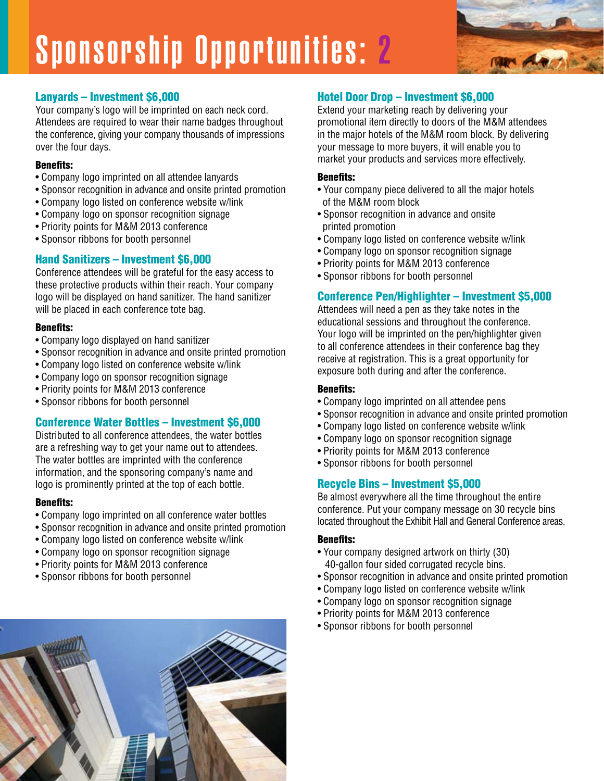

#### Lanyards – Investment \$6,000

Your company's logo will be imprinted on each neck cord. Attendees are required to wear their name badges throughout the conference, giving your company thousands of impressions over the four days.

#### Benefits:

- Company logo imprinted on all attendee lanyards
- Sponsor recognition in advance and onsite printed promotion
- Company logo listed on conference website w/link
- Company logo on sponsor recognition signage
- Priority points for M&M 2013 conference
- Sponsor ribbons for booth personnel

#### Hand Sanitizers – Investment \$6,000

Conference attendees will be grateful for the easy access to these protective products within their reach. Your company logo will be displayed on hand sanitizer. The hand sanitizer will be placed in each conference tote bag.

#### Benefits:

- Company logo displayed on hand sanitizer
- Sponsor recognition in advance and onsite printed promotion
- Company logo listed on conference website w/link
- Company logo on sponsor recognition signage
- Priority points for M&M 2013 conference
- Sponsor ribbons for booth personnel

#### Conference Water Bottles – Investment \$6,000

Distributed to all conference attendees, the water bottles are a refreshing way to get your name out to attendees. The water bottles are imprinted with the conference information, and the sponsoring company's name and logo is prominently printed at the top of each bottle.

#### Benefits:

- Company logo imprinted on all conference water bottles
- Sponsor recognition in advance and onsite printed promotion
- Company logo listed on conference website w/link
- Company logo on sponsor recognition signage
- Priority points for M&M 2013 conference
- Sponsor ribbons for booth personnel

#### Hotel Door Drop – Investment \$6,000

Extend your marketing reach by delivering your promotional item directly to doors of the M&M attendees in the major hotels of the M&M room block. By delivering your message to more buyers, it will enable you to market your products and services more effectively.

#### Benefits:

- Your company piece delivered to all the major hotels of the M&M room block
- Sponsor recognition in advance and onsite printed promotion
- Company logo listed on conference website w/link
- Company logo on sponsor recognition signage
- Priority points for M&M 2013 conference
- Sponsor ribbons for booth personnel

#### Conference Pen/Highlighter – Investment \$5,000

Attendees will need a pen as they take notes in the educational sessions and throughout the conference. Your logo will be imprinted on the pen/highlighter given to all conference attendees in their conference bag they receive at registration. This is a great opportunity for exposure both during and after the conference.

#### Benefits:

- Company logo imprinted on all attendee pens
- Sponsor recognition in advance and onsite printed promotion
- Company logo listed on conference website w/link
- Company logo on sponsor recognition signage
- Priority points for M&M 2013 conference
- Sponsor ribbons for booth personnel

#### Recycle Bins – Investment \$5,000

Be almost everywhere all the time throughout the entire conference. Put your company message on 30 recycle bins located throughout the Exhibit Hall and General Conference areas.

#### Benefits:

- Your company designed artwork on thirty (30) 40-gallon four sided corrugated recycle bins.
- Sponsor recognition in advance and onsite printed promotion
- Company logo listed on conference website w/link
- Company logo on sponsor recognition signage
- Priority points for M&M 2013 conference
- Sponsor ribbons for booth personnel

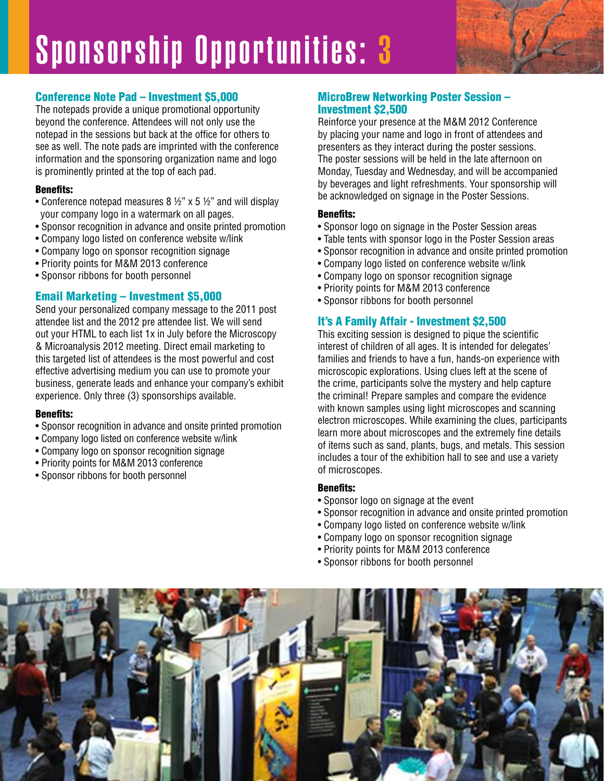#### Conference Note Pad – Investment \$5,000

The notepads provide a unique promotional opportunity beyond the conference. Attendees will not only use the notepad in the sessions but back at the office for others to see as well. The note pads are imprinted with the conference information and the sponsoring organization name and logo is prominently printed at the top of each pad.

#### Benefits:

- Conference notepad measures 8 ½" x 5 ½" and will display your company logo in a watermark on all pages.
- Sponsor recognition in advance and onsite printed promotion
- Company logo listed on conference website w/link
- Company logo on sponsor recognition signage
- Priority points for M&M 2013 conference
- Sponsor ribbons for booth personnel

#### Email Marketing – Investment \$5,000

Send your personalized company message to the 2011 post attendee list and the 2012 pre attendee list. We will send out your HTML to each list 1x in July before the Microscopy & Microanalysis 2012 meeting. Direct email marketing to this targeted list of attendees is the most powerful and cost effective advertising medium you can use to promote your business, generate leads and enhance your company's exhibit experience. Only three (3) sponsorships available.

#### Benefits:

- Sponsor recognition in advance and onsite printed promotion
- Company logo listed on conference website w/link
- Company logo on sponsor recognition signage
- Priority points for M&M 2013 conference
- Sponsor ribbons for booth personnel

#### MicroBrew Networking Poster Session – Investment \$2,500

Reinforce your presence at the M&M 2012 Conference by placing your name and logo in front of attendees and presenters as they interact during the poster sessions. The poster sessions will be held in the late afternoon on Monday, Tuesday and Wednesday, and will be accompanied by beverages and light refreshments. Your sponsorship will be acknowledged on signage in the Poster Sessions.

#### Benefits:

- Sponsor logo on signage in the Poster Session areas
- Table tents with sponsor logo in the Poster Session areas
- Sponsor recognition in advance and onsite printed promotion
- Company logo listed on conference website w/link
- Company logo on sponsor recognition signage
- Priority points for M&M 2013 conference
- Sponsor ribbons for booth personnel

#### It's A Family Affair - Investment \$2,500

This exciting session is designed to pique the scientific interest of children of all ages. It is intended for delegates' families and friends to have a fun, hands-on experience with microscopic explorations. Using clues left at the scene of the crime, participants solve the mystery and help capture the criminal! Prepare samples and compare the evidence with known samples using light microscopes and scanning electron microscopes. While examining the clues, participants learn more about microscopes and the extremely fine details of items such as sand, plants, bugs, and metals. This session includes a tour of the exhibition hall to see and use a variety of microscopes.

#### Benefits:

- Sponsor logo on signage at the event
- Sponsor recognition in advance and onsite printed promotion
- Company logo listed on conference website w/link
- Company logo on sponsor recognition signage
- Priority points for M&M 2013 conference
- Sponsor ribbons for booth personnel

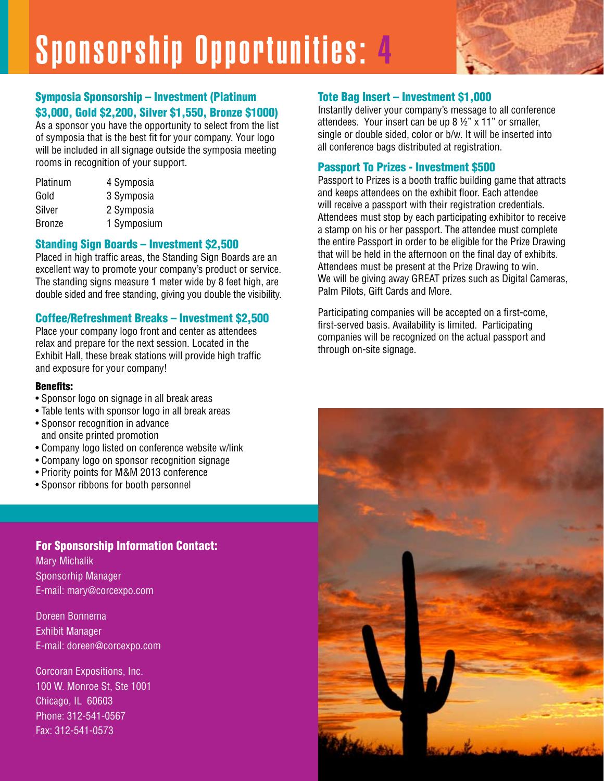

As a sponsor you have the opportunity to select from the list of symposia that is the best fit for your company. Your logo will be included in all signage outside the symposia meeting rooms in recognition of your support.

| Platinum      | 4 Symposia  |
|---------------|-------------|
| Gold          | 3 Symposia  |
| Silver        | 2 Symposia  |
| <b>Bronze</b> | 1 Symposium |

#### Standing Sign Boards – Investment \$2,500

Placed in high traffic areas, the Standing Sign Boards are an excellent way to promote your company's product or service. The standing signs measure 1 meter wide by 8 feet high, are double sided and free standing, giving you double the visibility.

#### Coffee/Refreshment Breaks – Investment \$2,500

Place your company logo front and center as attendees relax and prepare for the next session. Located in the Exhibit Hall, these break stations will provide high traffic and exposure for your company!

#### Benefits:

- Sponsor logo on signage in all break areas
- Table tents with sponsor logo in all break areas
- Sponsor recognition in advance and onsite printed promotion
- Company logo listed on conference website w/link
- Company logo on sponsor recognition signage
- Priority points for M&M 2013 conference
- Sponsor ribbons for booth personnel

#### For Sponsorship Information Contact:

Mary Michalik Sponsorhip Manager E-mail: mary@corcexpo.com

Doreen Bonnema Exhibit Manager E-mail: doreen@corcexpo.com

Corcoran Expositions, Inc. 100 W. Monroe St, Ste 1001 Chicago, IL 60603 Phone: 312-541-0567 Fax: 312-541-0573

#### Tote Bag Insert – Investment \$1,000

Instantly deliver your company's message to all conference attendees. Your insert can be up 8 ½" x 11" or smaller, single or double sided, color or b/w. It will be inserted into all conference bags distributed at registration.

#### Passport To Prizes - Investment \$500

Passport to Prizes is a booth traffic building game that attracts and keeps attendees on the exhibit floor. Each attendee will receive a passport with their registration credentials. Attendees must stop by each participating exhibitor to receive a stamp on his or her passport. The attendee must complete the entire Passport in order to be eligible for the Prize Drawing that will be held in the afternoon on the final day of exhibits. Attendees must be present at the Prize Drawing to win. We will be giving away GREAT prizes such as Digital Cameras, Palm Pilots, Gift Cards and More.

Participating companies will be accepted on a first-come, first-served basis. Availability is limited. Participating companies will be recognized on the actual passport and through on-site signage.